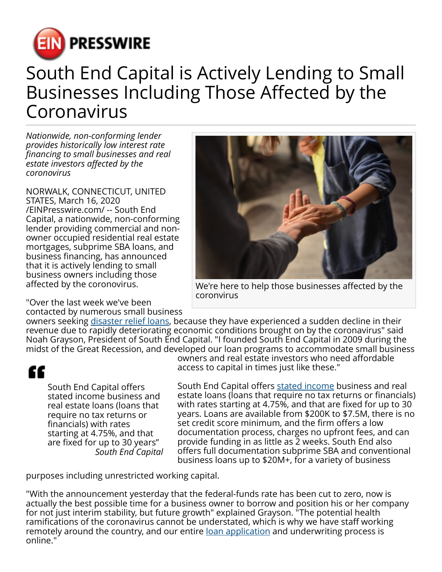

## South End Capital is Actively Lending to Small Businesses Including Those Affected by the Coronavirus

*Nationwide, non-conforming lender provides historically low interest rate financing to small businesses and real estate investors affected by the coronovirus*

NORWALK, CONNECTICUT, UNITED STATES, March 16, 2020 [/EINPresswire.com/](http://www.einpresswire.com) -- South End Capital, a nationwide, non-conforming lender providing commercial and nonowner occupied residential real estate mortgages, subprime SBA loans, and business financing, has announced that it is actively lending to small business owners including those affected by the coronovirus.

We're here to help those businesses affected by the coronvirus

"Over the last week we've been contacted by numerous small business

owners seeking [disaster relief loans](https://southendcapital.com/programs/), because they have experienced a sudden decline in their revenue due to rapidly deteriorating economic conditions brought on by the coronavirus" said Noah Grayson, President of South End Capital. "I founded South End Capital in 2009 during the midst of the Great Recession, and developed our loan programs to accommodate small business

## ££

South End Capital offers stated income business and real estate loans (loans that require no tax returns or financials) with rates starting at 4.75%, and that are fixed for up to 30 years" *South End Capital* owners and real estate investors who need affordable access to capital in times just like these."

South End Capital offers [stated income](https://www.einpresswire.com/article/510101065/south-end-capital-increases-stated-income-mortgage-limit-to-7-5-million?r=pafCmMYjXjLNjkuAVo) business and real estate loans (loans that require no tax returns or financials) with rates starting at 4.75%, and that are fixed for up to 30 years. Loans are available from \$200K to \$7.5M, there is no set credit score minimum, and the firm offers a low documentation process, charges no upfront fees, and can provide funding in as little as 2 weeks. South End also offers full documentation subprime SBA and conventional business loans up to \$20M+, for a variety of business

purposes including unrestricted working capital.

"With the announcement yesterday that the federal-funds rate has been cut to zero, now is actually the best possible time for a business owner to borrow and position his or her company for not just interim stability, but future growth" explained Grayson. "The potential health ramifications of the coronavirus cannot be understated, which is why we have staff working remotely around the country, and our entire [loan application](https://forms.momentumtools.io/?form=dmkhsicgcxwd) and underwriting process is online."